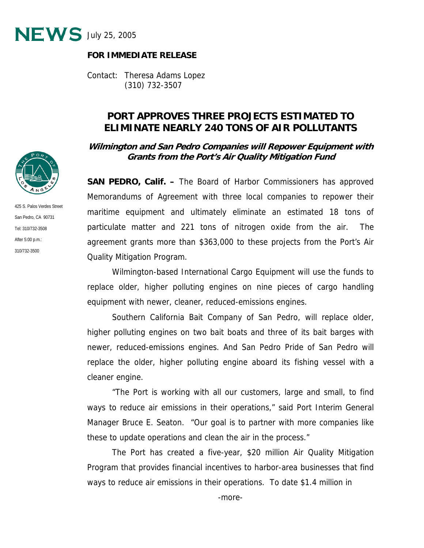

## **FOR IMMEDIATE RELEASE**

Contact: Theresa Adams Lopez (310) 732-3507

## **PORT APPROVES THREE PROJECTS ESTIMATED TO ELIMINATE NEARLY 240 TONS OF AIR POLLUTANTS**

**Wilmington and San Pedro Companies will Repower Equipment with Grants from the Port's Air Quality Mitigation Fund** 

**SAN PEDRO, Calif. –** The Board of Harbor Commissioners has approved Memorandums of Agreement with three local companies to repower their maritime equipment and ultimately eliminate an estimated 18 tons of particulate matter and 221 tons of nitrogen oxide from the air. The agreement grants more than \$363,000 to these projects from the Port's Air Quality Mitigation Program.

 Wilmington-based International Cargo Equipment will use the funds to replace older, higher polluting engines on nine pieces of cargo handling equipment with newer, cleaner, reduced-emissions engines.

Southern California Bait Company of San Pedro, will replace older, higher polluting engines on two bait boats and three of its bait barges with newer, reduced-emissions engines. And San Pedro Pride of San Pedro will replace the older, higher polluting engine aboard its fishing vessel with a cleaner engine.

"The Port is working with all our customers, large and small, to find ways to reduce air emissions in their operations," said Port Interim General Manager Bruce E. Seaton. "Our goal is to partner with more companies like these to update operations and clean the air in the process."

The Port has created a five-year, \$20 million Air Quality Mitigation Program that provides financial incentives to harbor-area businesses that find ways to reduce air emissions in their operations. To date \$1.4 million in



425 S. Palos Verdes Street San Pedro, CA 90731 Tel: 310/732-3508 After 5:00 p.m.: 310/732-3500